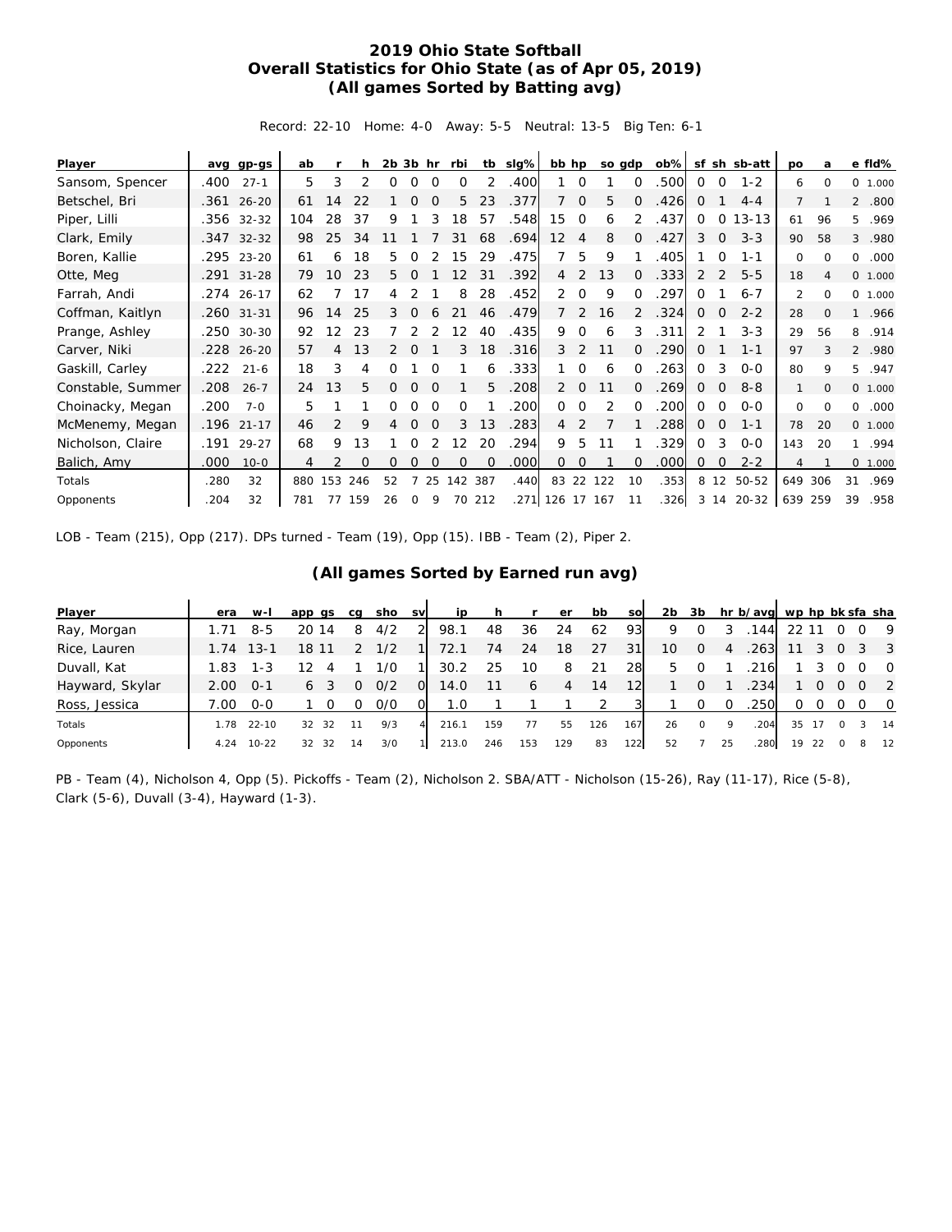## **2019 Ohio State Softball Overall Statistics for Ohio State (as of Apr 05, 2019) (All games Sorted by Batting avg)**

Record: 22-10 Home: 4-0 Away: 5-5 Neutral: 13-5 Big Ten: 6-1

| Player            |      | avg gp-gs    | ab  |               |          | $2b$ $3b$ hr |          |          | rbi      |          | tb slg% | bb hp             |                |               | so gdp   | $ob\%$ | sf           |                | sh sb-att  | po             | a            |                | e fld%   |
|-------------------|------|--------------|-----|---------------|----------|--------------|----------|----------|----------|----------|---------|-------------------|----------------|---------------|----------|--------|--------------|----------------|------------|----------------|--------------|----------------|----------|
| Sansom, Spencer   | .400 | $27 - 1$     | 5   | 3             |          | Ω            | O        | $\Omega$ | $\Omega$ |          | .400    |                   | $\Omega$       |               | $\Omega$ | .500   | $\Omega$     | 0              | $1 - 2$    | 6              | $\Omega$     |                | 0 1.000  |
| Betschel, Bri     | .361 | $26 - 20$    | 61  | 14            |          |              |          |          | 5        | 23       | .377    |                   | $\Omega$       | 5             | $\Omega$ | .426   | $\Omega$     |                | $4 - 4$    | $\overline{7}$ |              | $\overline{2}$ | .800     |
| Piper, Lilli      |      | .356 32-32   | 104 | 28            | 37       | 9            |          |          | 18       | 57       | .548    | 15                | $\Omega$       | 6             |          | .437   | $\Omega$     | $\Omega$       | $13 - 13$  | 61             | 96           | 5.             | .969     |
| Clark, Emily      |      | $.347$ 32-32 | 98  | 25            | 34       |              |          |          | 31       | 68       | .694    | $12 \overline{ }$ | 4              | 8             | 0        | .427   | 3            | $\overline{0}$ | $3 - 3$    | 90             | 58           | 3              | .980     |
| Boren, Kallie     |      | .295 23-20   | 61  | 6             | 18       | 5.           |          |          | 15       | 29       | .475    | 7                 | 5              | 9             |          | .405   |              | O              | $1 - 1$    | 0              | $\Omega$     | 0              | .000     |
| Otte, Meg         |      | .291 31-28   | 79  | 10            | 23       | 5.           | O        |          | 12       | 31       | .392    | $\overline{4}$    | 2              | 13            | 0        | .333   | 2            | 2              | $5 - 5$    | 18             | 4            |                | 0, 1,000 |
| Farrah, Andi      |      | .274 26-17   | 62  |               | 17       |              |          |          | 8        | 28       | .452    | 2                 | $\Omega$       | 9             | $\Omega$ | 297    | $\Omega$     |                | $6 - 7$    | $\mathfrak{D}$ | $\Omega$     |                | 0 1.000  |
| Coffman, Kaitlyn  |      | .260 31-31   | 96  | 14            | 25       | 3            | $\Omega$ |          | 21       | 46       | .479    | $7^{\circ}$       | 2              | 16            | 2        | 324    | $\mathbf{0}$ | $\Omega$       | $2 - 2$    | 28             | $\mathbf{0}$ | $\mathbf{1}$   | .966     |
| Prange, Ashley    |      | .250 30-30   | 92  | 12            | 23       |              |          |          | 12       | 40       | .435    | 9                 | $\Omega$       | 6             | 3        | .311   | 2            |                | $3 - 3$    | 29             | 56           | 8              | .914     |
| Carver, Niki      |      | .228 26-20   | 57  | 4             | 13       | 2            | $\Omega$ |          | 3        | 18       | .316    | 3                 | 2              | 11            | $\Omega$ | .290   | 0            |                | $1 - 1$    | 97             | 3            |                | 2 .980   |
| Gaskill, Carley   | .222 | $21 - 6$     | 18  | 3             | 4        | 0            |          |          |          | 6        | .333    |                   | $\Omega$       | 6             | $\Omega$ | 263    | $\Omega$     | 3              | $O-O$      | 80             | 9            | 5              | .947     |
| Constable, Summer | .208 | $26 - 7$     | 24  | 13            | 5.       | Ω            | $\Omega$ | $\Omega$ |          | 5.       | .208    | 2                 | $\overline{0}$ | 11            | 0        | 269    | $\mathbf{0}$ | 0              | $8 - 8$    | $\mathbf{1}$   | $\mathbf{O}$ |                | 0 1.000  |
| Choinacky, Megan  | .200 | $7 - 0$      | 5   |               |          |              |          |          | ∩        |          | .200    | $\Omega$          | $\Omega$       | $\mathcal{P}$ | ∩        | 200    | $\Omega$     | $\Omega$       | $O-O$      | 0              | $\Omega$     | O              | .000     |
| McMenemy, Megan   |      | .196 21-17   | 46  | $\mathcal{P}$ | 9        |              | $\Omega$ |          | 3        | 13       | .283    | $\overline{4}$    | 2              |               |          | .288   | $\mathbf{0}$ | $\overline{0}$ | $1 - 1$    | 78             | 20           |                | 0 1.000  |
| Nicholson, Claire | .191 | 29-27        | 68  | 9             | 13       |              | Ω        |          | 12       | 20       | .294    | 9                 | 5              | 11            |          | .329   | $\Omega$     | 3              | $0-0$      | 143            | 20           |                | .994     |
| Balich, Amy       | .000 | $10 - 0$     | 4   |               | $\Omega$ | Ω            | O        |          | $\Omega$ | $\Omega$ | .000    | 0                 | 0              |               | $\Omega$ | .000   | 0            | $\mathbf{0}$   | $2 - 2$    | 4              |              |                | 0 1.000  |
| Totals            | .280 | 32           | 880 | 153           | 246      | 52           |          | 25       | 142      | 387      | .440    |                   |                | 83 22 122     | 10       | .353   |              |                | 8 12 50-52 | 649 306        |              | 31             | .969     |
| Opponents         | 204  | 32           | 781 | 77            | 159      | 26           | $\Omega$ | 9        |          | 70 212   |         | .271  126 17 167  |                |               | 11       | .326   |              |                | 3 14 20-32 | 639 259        |              | 39             | .958     |

LOB - Team (215), Opp (217). DPs turned - Team (19), Opp (15). IBB - Team (2), Piper 2.

|  |  | (All games Sorted by Earned run avg) |  |
|--|--|--------------------------------------|--|
|  |  |                                      |  |

| Player          | era  | w-l       | app qs             | ca | sho sv |          | ip    | <sub>n</sub> |     | er  | bb            | sol | 2b |          |          | 3b hr b/avg wp hp bk sfa sha |       |     |     |     |                         |
|-----------------|------|-----------|--------------------|----|--------|----------|-------|--------------|-----|-----|---------------|-----|----|----------|----------|------------------------------|-------|-----|-----|-----|-------------------------|
| Ray, Morgan     | 1.71 | $8 - 5$   | $20^{\circ}$<br>14 | 8  | 4/2    | 21       | 98.1  | 48           | 36  | 24  | 62            | 93  | 9  | 0        |          | .144                         | 22 11 |     |     |     | - 9                     |
| Rice, Lauren    | 1.74 | $13-1$    | 18                 |    | 1/2    |          | 72.1  | 74           | 24  | 18  | 27            | 31  | 10 | $\Omega$ | 4        | .263                         |       |     | - 0 |     | $\overline{\mathbf{3}}$ |
| Duvall, Kat     | 1.83 | $1 - 3$   |                    |    | 1/0    |          | 30.2  | 25           | 10  | 8   | -21           | 28  | 5  | 0        |          | .216                         |       |     |     |     | $\circ$                 |
| Hayward, Skylar | 2.00 | $0 - 1$   | 6                  | O  | 0/2    | $\Omega$ | 14.0  | 11           | 6   | 4   | 14            | 12  |    | $\Omega$ |          | .234                         |       |     |     |     | $\overline{2}$          |
| Ross, Jessica   | 7.00 | $0 - 0$   |                    |    | 0/0    | ΩL       | 1.0   |              |     |     | $\mathcal{D}$ |     |    | $\Omega$ | $\Omega$ | .250                         | 0     |     |     | - 0 | $\overline{0}$          |
| Totals          | .78  | 22-10     | 32<br>-32          |    | 9/3    | 4        | 216.1 | 159          | 77  | 55  | 126           | 167 | 26 | $\Omega$ | 9        | .204                         | 35    |     |     |     | 14                      |
| Opponents       | 4.24 | $10 - 22$ | 32<br>-32          | 14 | 3/0    |          | 213.0 | 246          | 153 | 129 | 83            | 122 | 52 |          | 25       | 280                          | 19    | -22 |     |     | 12                      |

PB - Team (4), Nicholson 4, Opp (5). Pickoffs - Team (2), Nicholson 2. SBA/ATT - Nicholson (15-26), Ray (11-17), Rice (5-8), Clark (5-6), Duvall (3-4), Hayward (1-3).